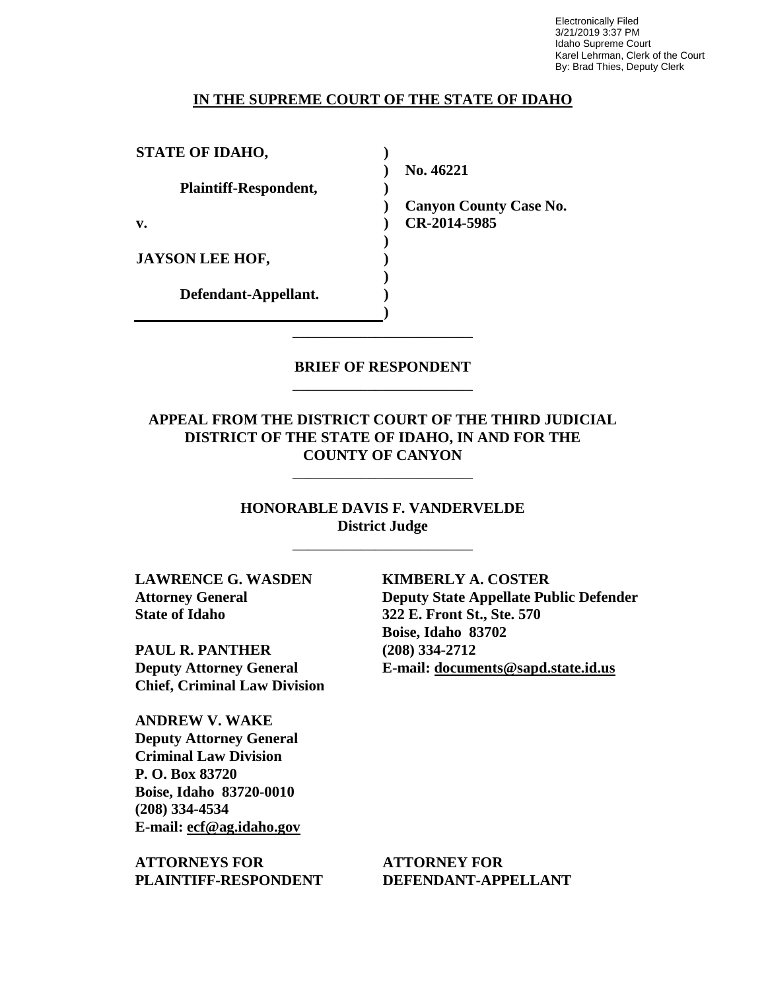Electronically Filed 3/21/2019 3:37 PM Idaho Supreme Court Karel Lehrman, Clerk of the Court By: Brad Thies, Deputy Clerk

### **IN THE SUPREME COURT OF THE STATE OF IDAHO**

| <b>STATE OF IDAHO,</b>       |                               |
|------------------------------|-------------------------------|
|                              | No. 46221                     |
| <b>Plaintiff-Respondent,</b> |                               |
|                              | <b>Canyon County Case No.</b> |
| v.                           | CR-2014-5985                  |
|                              |                               |
| <b>JAYSON LEE HOF,</b>       |                               |
|                              |                               |
| Defendant-Appellant.         |                               |
|                              |                               |

## **BRIEF OF RESPONDENT** \_\_\_\_\_\_\_\_\_\_\_\_\_\_\_\_\_\_\_\_\_\_\_\_

\_\_\_\_\_\_\_\_\_\_\_\_\_\_\_\_\_\_\_\_\_\_\_\_

## **APPEAL FROM THE DISTRICT COURT OF THE THIRD JUDICIAL DISTRICT OF THE STATE OF IDAHO, IN AND FOR THE COUNTY OF CANYON**

\_\_\_\_\_\_\_\_\_\_\_\_\_\_\_\_\_\_\_\_\_\_\_\_

**HONORABLE DAVIS F. VANDERVELDE District Judge**

\_\_\_\_\_\_\_\_\_\_\_\_\_\_\_\_\_\_\_\_\_\_\_\_

**LAWRENCE G. WASDEN Attorney General State of Idaho**

**PAUL R. PANTHER Deputy Attorney General Chief, Criminal Law Division**

**ANDREW V. WAKE Deputy Attorney General Criminal Law Division P. O. Box 83720 Boise, Idaho 83720-0010 (208) 334-4534 E-mail: ecf@ag.idaho.gov** 

**ATTORNEYS FOR PLAINTIFF-RESPONDENT** **KIMBERLY A. COSTER Deputy State Appellate Public Defender 322 E. Front St., Ste. 570 Boise, Idaho 83702 (208) 334-2712 E-mail: documents@sapd.state.id.us** 

**ATTORNEY FOR DEFENDANT-APPELLANT**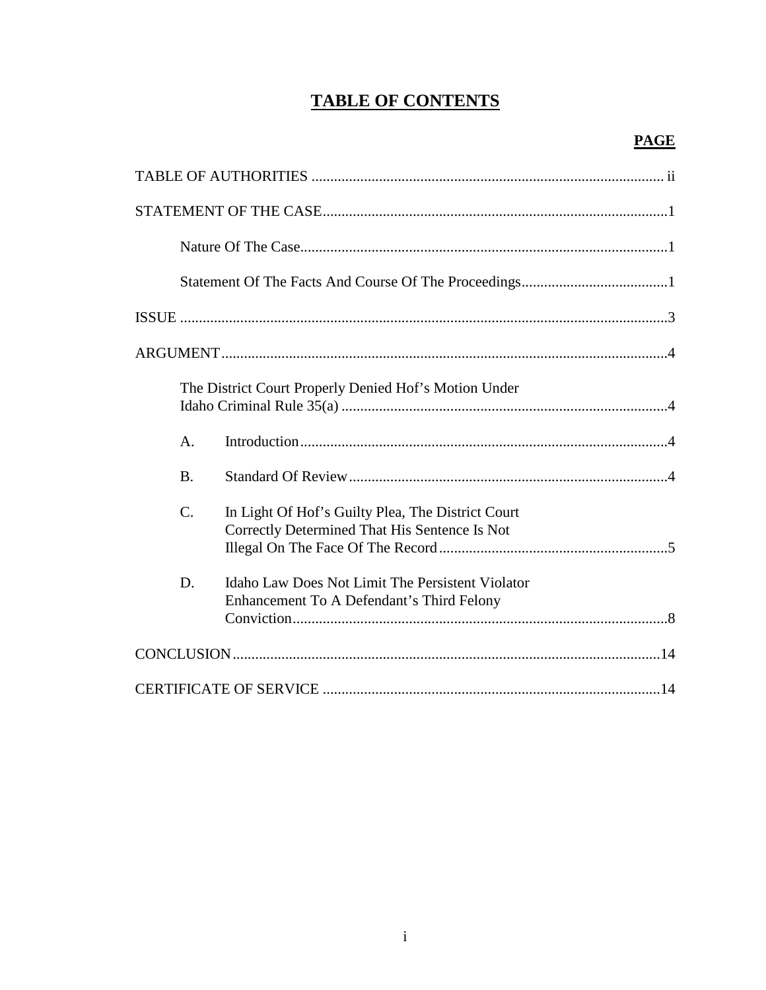# **TABLE OF CONTENTS**

|                 | The District Court Properly Denied Hof's Motion Under                                              |
|-----------------|----------------------------------------------------------------------------------------------------|
| $\mathsf{A}$ .  |                                                                                                    |
| <b>B.</b>       |                                                                                                    |
| $\mathcal{C}$ . | In Light Of Hof's Guilty Plea, The District Court<br>Correctly Determined That His Sentence Is Not |
| D.              | Idaho Law Does Not Limit The Persistent Violator<br>Enhancement To A Defendant's Third Felony      |
|                 |                                                                                                    |
|                 |                                                                                                    |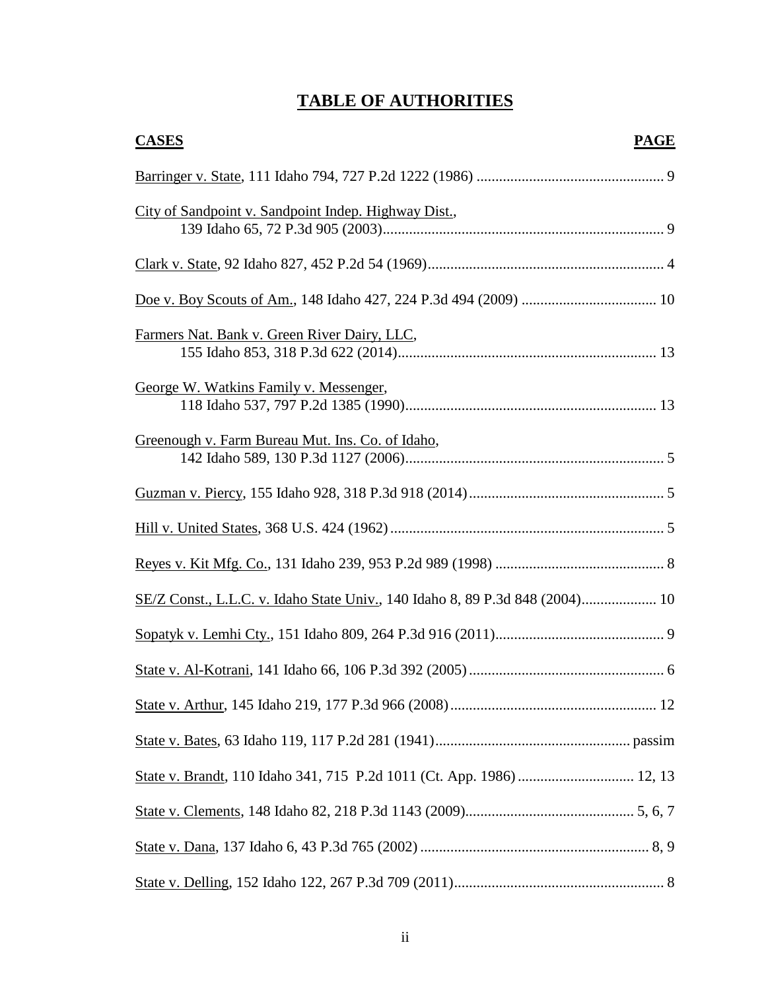# **TABLE OF AUTHORITIES**

| <b>CASES</b><br><b>PAGE</b>                                                  |
|------------------------------------------------------------------------------|
|                                                                              |
| City of Sandpoint v. Sandpoint Indep. Highway Dist.,                         |
|                                                                              |
|                                                                              |
| Farmers Nat. Bank v. Green River Dairy, LLC,                                 |
| George W. Watkins Family v. Messenger,                                       |
| Greenough v. Farm Bureau Mut. Ins. Co. of Idaho,                             |
|                                                                              |
|                                                                              |
|                                                                              |
| SE/Z Const., L.L.C. v. Idaho State Univ., 140 Idaho 8, 89 P.3d 848 (2004) 10 |
|                                                                              |
|                                                                              |
|                                                                              |
|                                                                              |
| State v. Brandt, 110 Idaho 341, 715 P.2d 1011 (Ct. App. 1986)  12, 13        |
|                                                                              |
|                                                                              |
|                                                                              |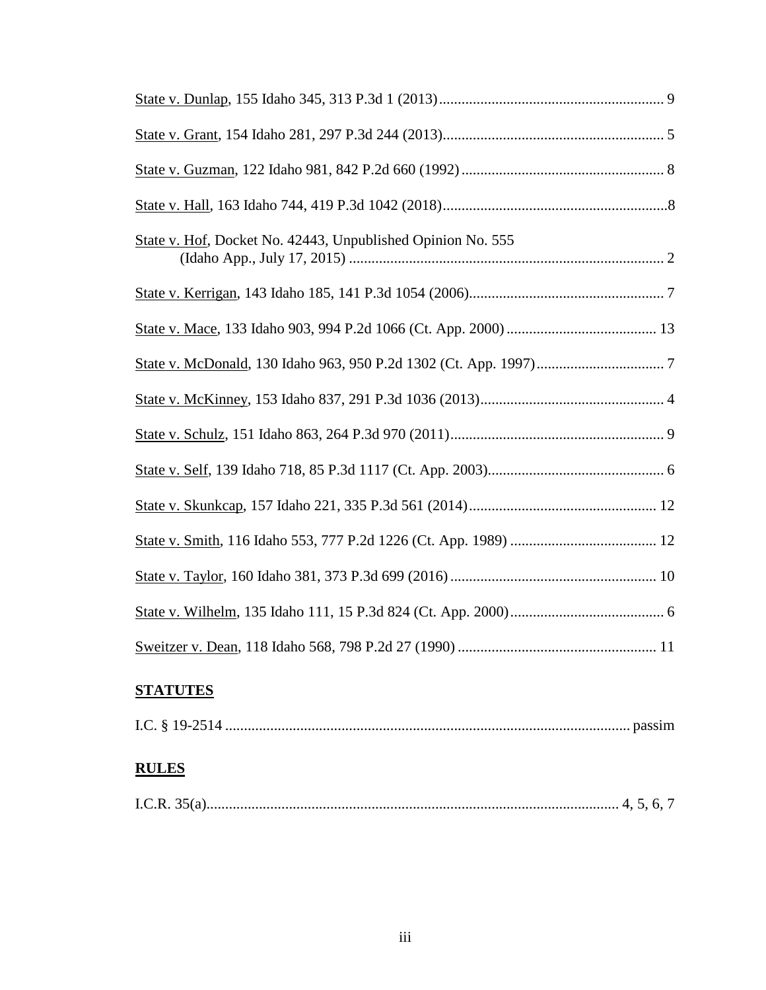# **STATUTES**

|--|--|

# **RULES**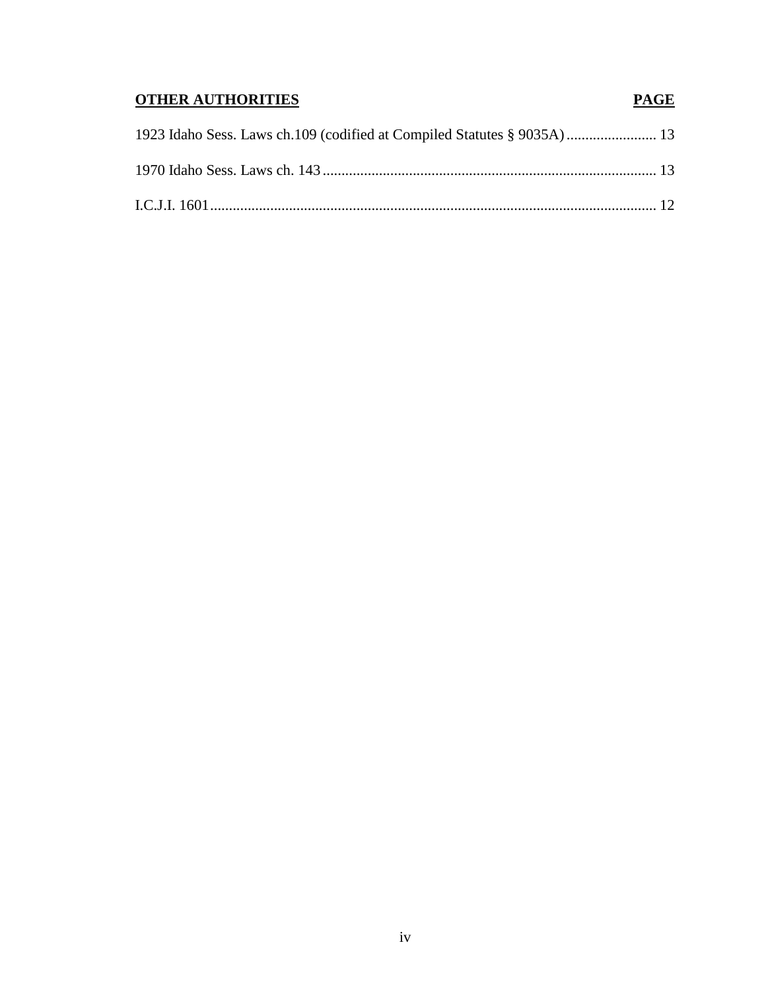# **OTHER AUTHORITIES PAGE**

| 1923 Idaho Sess. Laws ch.109 (codified at Compiled Statutes § 9035A) 13 |  |
|-------------------------------------------------------------------------|--|
|                                                                         |  |
|                                                                         |  |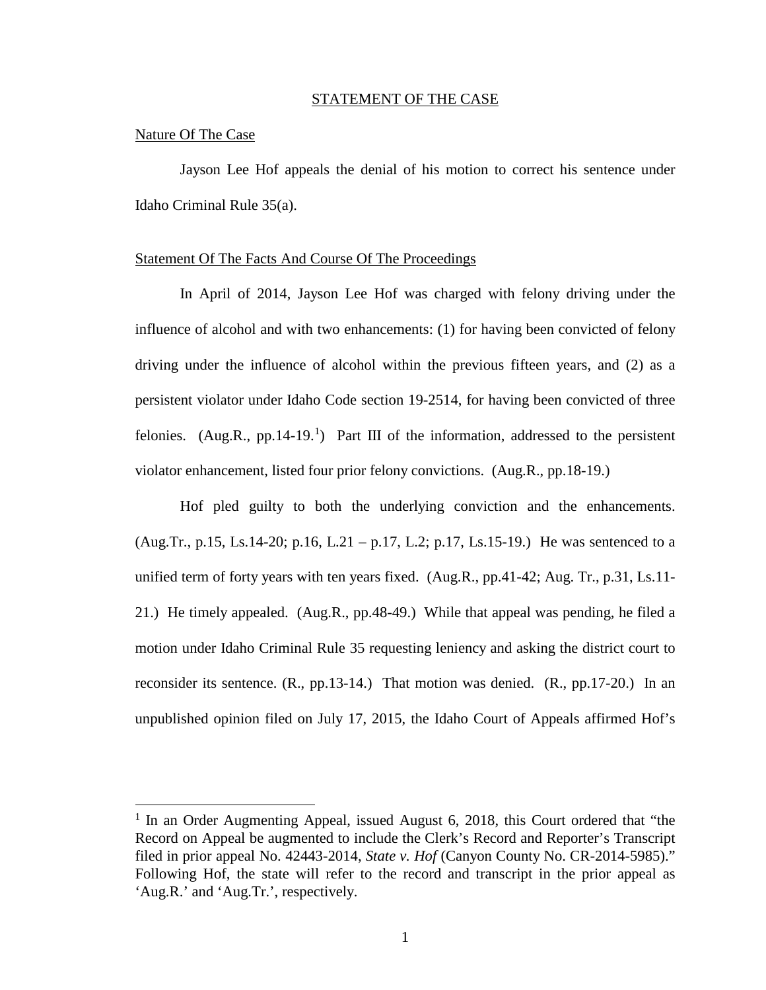#### STATEMENT OF THE CASE

#### Nature Of The Case

 $\overline{a}$ 

Jayson Lee Hof appeals the denial of his motion to correct his sentence under Idaho Criminal Rule 35(a).

#### Statement Of The Facts And Course Of The Proceedings

In April of 2014, Jayson Lee Hof was charged with felony driving under the influence of alcohol and with two enhancements: (1) for having been convicted of felony driving under the influence of alcohol within the previous fifteen years, and (2) as a persistent violator under Idaho Code section 19-2514, for having been convicted of three felonies. (Aug.R., pp. [1](#page--1-0)4-19.<sup>1</sup>) Part III of the information, addressed to the persistent violator enhancement, listed four prior felony convictions. (Aug.R., pp.18-19.)

Hof pled guilty to both the underlying conviction and the enhancements. (Aug.Tr., p.15, Ls.14-20; p.16, L.21 – p.17, L.2; p.17, Ls.15-19.) He was sentenced to a unified term of forty years with ten years fixed. (Aug.R., pp.41-42; Aug. Tr., p.31, Ls.11- 21.) He timely appealed. (Aug.R., pp.48-49.) While that appeal was pending, he filed a motion under Idaho Criminal Rule 35 requesting leniency and asking the district court to reconsider its sentence. (R., pp.13-14.) That motion was denied. (R., pp.17-20.) In an unpublished opinion filed on July 17, 2015, the Idaho Court of Appeals affirmed Hof's

 $1$  In an Order Augmenting Appeal, issued August 6, 2018, this Court ordered that "the Record on Appeal be augmented to include the Clerk's Record and Reporter's Transcript filed in prior appeal No. 42443-2014, *State v. Hof* (Canyon County No. CR-2014-5985)." Following Hof, the state will refer to the record and transcript in the prior appeal as 'Aug.R.' and 'Aug.Tr.', respectively.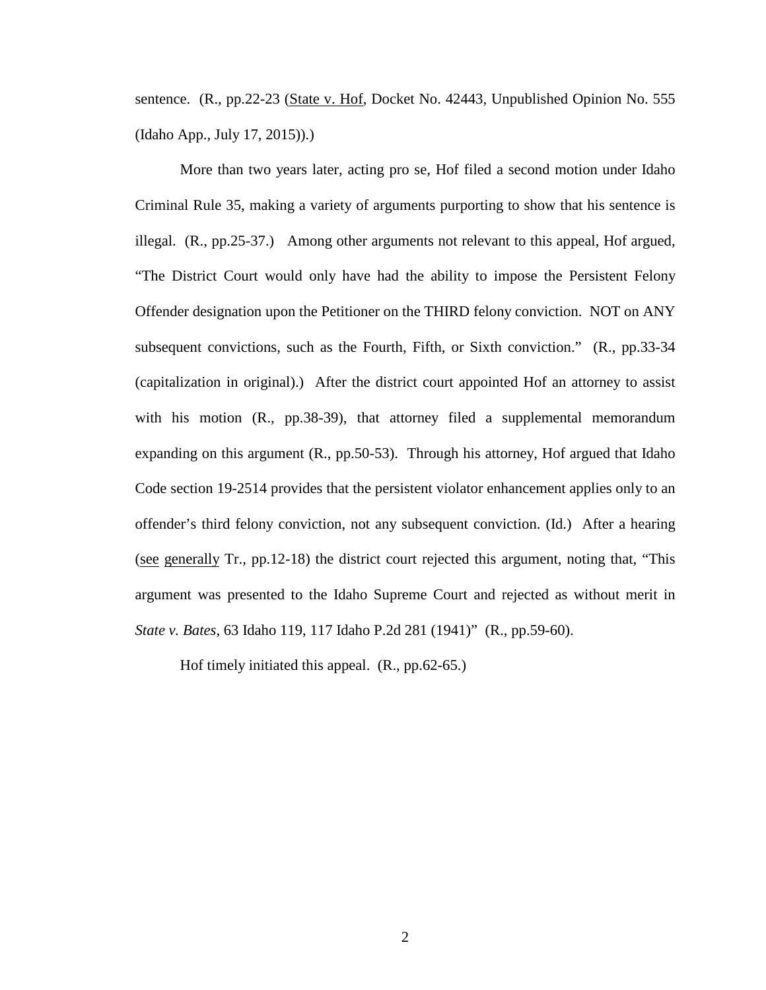sentence. (R., pp.22-23 (State v. Hof, Docket No. 42443, Unpublished Opinion No. 555) (Idaho App., July 17, 2015)).)

More than two years later, acting pro se, Hof filed a second motion under Idaho Criminal Rule 35, making a variety of arguments purporting to show that his sentence is illegal. (R., pp.25-37.) Among other arguments not relevant to this appeal, Hof argued, "The District Court would only have had the ability to impose the Persistent Felony Offender designation upon the Petitioner on the THIRD felony conviction. NOT on ANY subsequent convictions, such as the Fourth, Fifth, or Sixth conviction." (R., pp.33-34 (capitalization in original).) After the district court appointed Hof an attorney to assist with his motion (R., pp.38-39), that attorney filed a supplemental memorandum expanding on this argument (R., pp.50-53). Through his attorney, Hof argued that Idaho Code section 19-2514 provides that the persistent violator enhancement applies only to an offender's third felony conviction, not any subsequent conviction. (Id.) After a hearing (see generally Tr., pp.12-18) the district court rejected this argument, noting that, "This argument was presented to the Idaho Supreme Court and rejected as without merit in *State v. Bates*, 63 Idaho 119, 117 Idaho P.2d 281 (1941)" (R., pp.59-60).

Hof timely initiated this appeal. (R., pp.62-65.)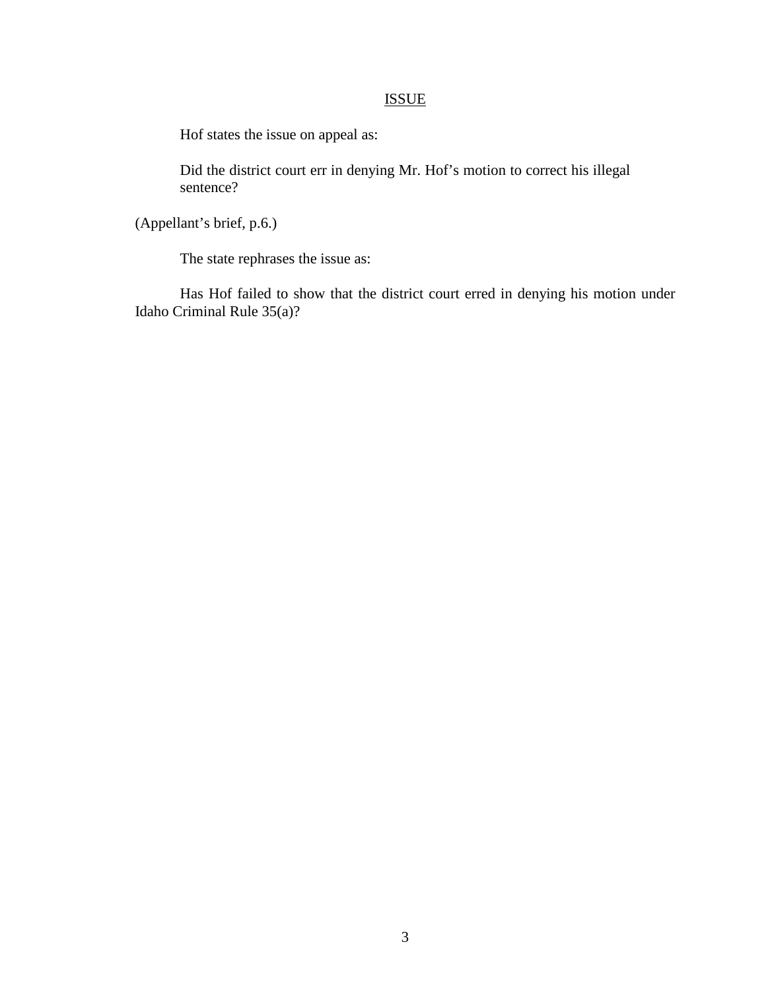# ISSUE

Hof states the issue on appeal as:

Did the district court err in denying Mr. Hof's motion to correct his illegal sentence?

(Appellant's brief, p.6.)

The state rephrases the issue as:

Has Hof failed to show that the district court erred in denying his motion under Idaho Criminal Rule 35(a)?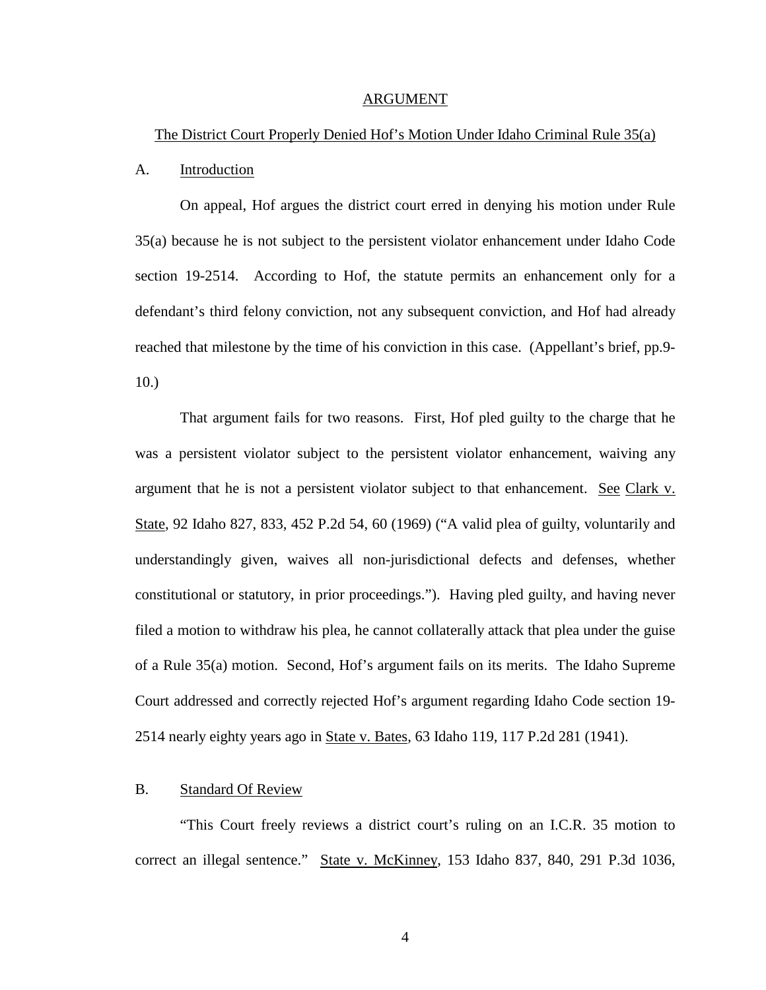#### ARGUMENT

#### The District Court Properly Denied Hof's Motion Under Idaho Criminal Rule 35(a)

#### A. Introduction

On appeal, Hof argues the district court erred in denying his motion under Rule 35(a) because he is not subject to the persistent violator enhancement under Idaho Code section 19-2514. According to Hof, the statute permits an enhancement only for a defendant's third felony conviction, not any subsequent conviction, and Hof had already reached that milestone by the time of his conviction in this case. (Appellant's brief, pp.9- 10.)

That argument fails for two reasons. First, Hof pled guilty to the charge that he was a persistent violator subject to the persistent violator enhancement, waiving any argument that he is not a persistent violator subject to that enhancement. See Clark v. State, 92 Idaho 827, 833, 452 P.2d 54, 60 (1969) ("A valid plea of guilty, voluntarily and understandingly given, waives all non-jurisdictional defects and defenses, whether constitutional or statutory, in prior proceedings."). Having pled guilty, and having never filed a motion to withdraw his plea, he cannot collaterally attack that plea under the guise of a Rule 35(a) motion. Second, Hof's argument fails on its merits. The Idaho Supreme Court addressed and correctly rejected Hof's argument regarding Idaho Code section 19- 2514 nearly eighty years ago in State v. Bates, 63 Idaho 119, 117 P.2d 281 (1941).

#### B. Standard Of Review

"This Court freely reviews a district court's ruling on an I.C.R. 35 motion to correct an illegal sentence." State v. McKinney, 153 Idaho 837, 840, 291 P.3d 1036,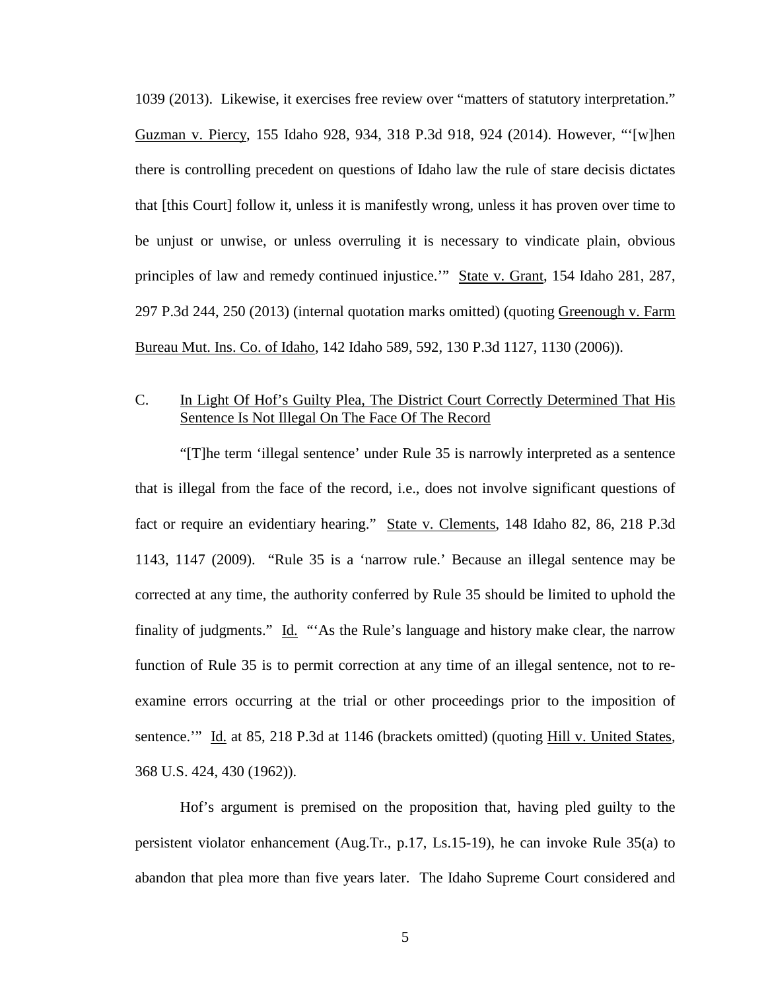1039 (2013). Likewise, it exercises free review over "matters of statutory interpretation." Guzman v. Piercy, 155 Idaho 928, 934, 318 P.3d 918, 924 (2014). However, "'[w]hen there is controlling precedent on questions of Idaho law the rule of stare decisis dictates that [this Court] follow it, unless it is manifestly wrong, unless it has proven over time to be unjust or unwise, or unless overruling it is necessary to vindicate plain, obvious principles of law and remedy continued injustice." State v. Grant, 154 Idaho 281, 287, 297 P.3d 244, 250 (2013) (internal quotation marks omitted) (quoting Greenough v. Farm Bureau Mut. Ins. Co. of Idaho, 142 Idaho 589, 592, 130 P.3d 1127, 1130 (2006)).

# C. In Light Of Hof's Guilty Plea, The District Court Correctly Determined That His Sentence Is Not Illegal On The Face Of The Record

"[T]he term 'illegal sentence' under Rule 35 is narrowly interpreted as a sentence that is illegal from the face of the record, i.e., does not involve significant questions of fact or require an evidentiary hearing." State v. Clements, 148 Idaho 82, 86, 218 P.3d 1143, 1147 (2009). "Rule 35 is a 'narrow rule.' Because an illegal sentence may be corrected at any time, the authority conferred by Rule 35 should be limited to uphold the finality of judgments." Id. "As the Rule's language and history make clear, the narrow function of Rule 35 is to permit correction at any time of an illegal sentence, not to reexamine errors occurring at the trial or other proceedings prior to the imposition of sentence." Id. at 85, 218 P.3d at 1146 (brackets omitted) (quoting Hill v. United States, 368 U.S. 424, 430 (1962)).

Hof's argument is premised on the proposition that, having pled guilty to the persistent violator enhancement (Aug.Tr., p.17, Ls.15-19), he can invoke Rule 35(a) to abandon that plea more than five years later. The Idaho Supreme Court considered and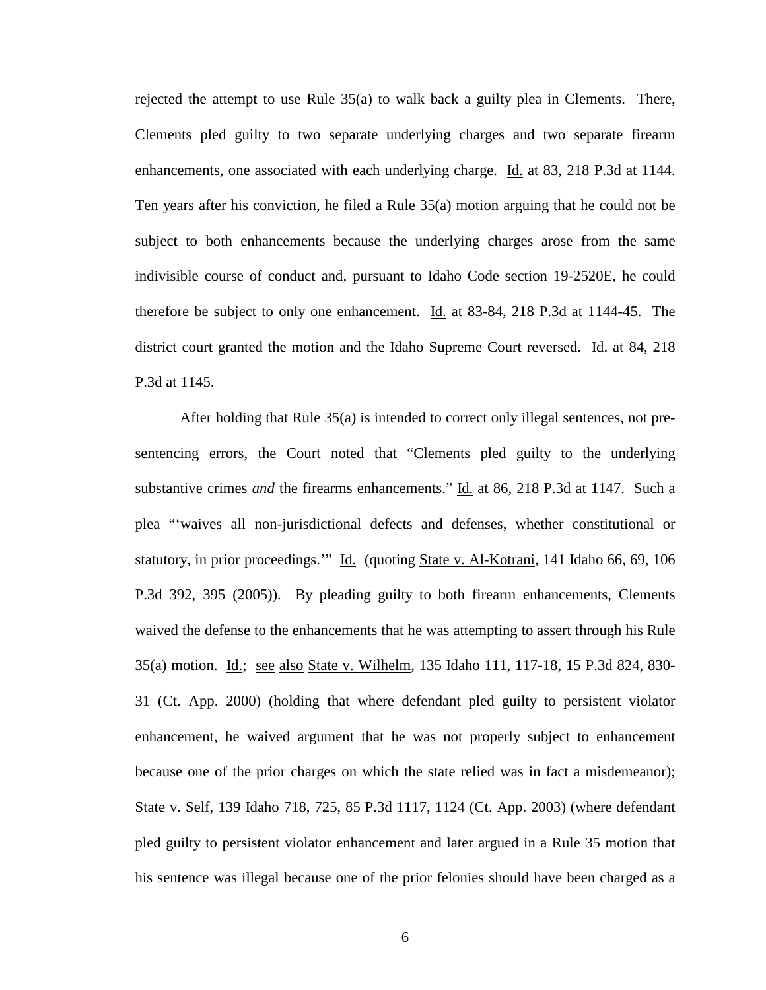rejected the attempt to use Rule  $35(a)$  to walk back a guilty plea in Clements. There, Clements pled guilty to two separate underlying charges and two separate firearm enhancements, one associated with each underlying charge. Id. at 83, 218 P.3d at 1144. Ten years after his conviction, he filed a Rule 35(a) motion arguing that he could not be subject to both enhancements because the underlying charges arose from the same indivisible course of conduct and, pursuant to Idaho Code section 19-2520E, he could therefore be subject to only one enhancement. Id. at 83-84, 218 P.3d at 1144-45. The district court granted the motion and the Idaho Supreme Court reversed. Id. at 84, 218 P.3d at 1145.

After holding that Rule 35(a) is intended to correct only illegal sentences, not presentencing errors, the Court noted that "Clements pled guilty to the underlying substantive crimes *and* the firearms enhancements." Id. at 86, 218 P.3d at 1147. Such a plea "'waives all non-jurisdictional defects and defenses, whether constitutional or statutory, in prior proceedings." Id. (quoting State v. Al-Kotrani, 141 Idaho 66, 69, 106 P.3d 392, 395 (2005)). By pleading guilty to both firearm enhancements, Clements waived the defense to the enhancements that he was attempting to assert through his Rule 35(a) motion. Id.; see also State v. Wilhelm, 135 Idaho 111, 117-18, 15 P.3d 824, 830-31 (Ct. App. 2000) (holding that where defendant pled guilty to persistent violator enhancement, he waived argument that he was not properly subject to enhancement because one of the prior charges on which the state relied was in fact a misdemeanor); State v. Self, 139 Idaho 718, 725, 85 P.3d 1117, 1124 (Ct. App. 2003) (where defendant pled guilty to persistent violator enhancement and later argued in a Rule 35 motion that his sentence was illegal because one of the prior felonies should have been charged as a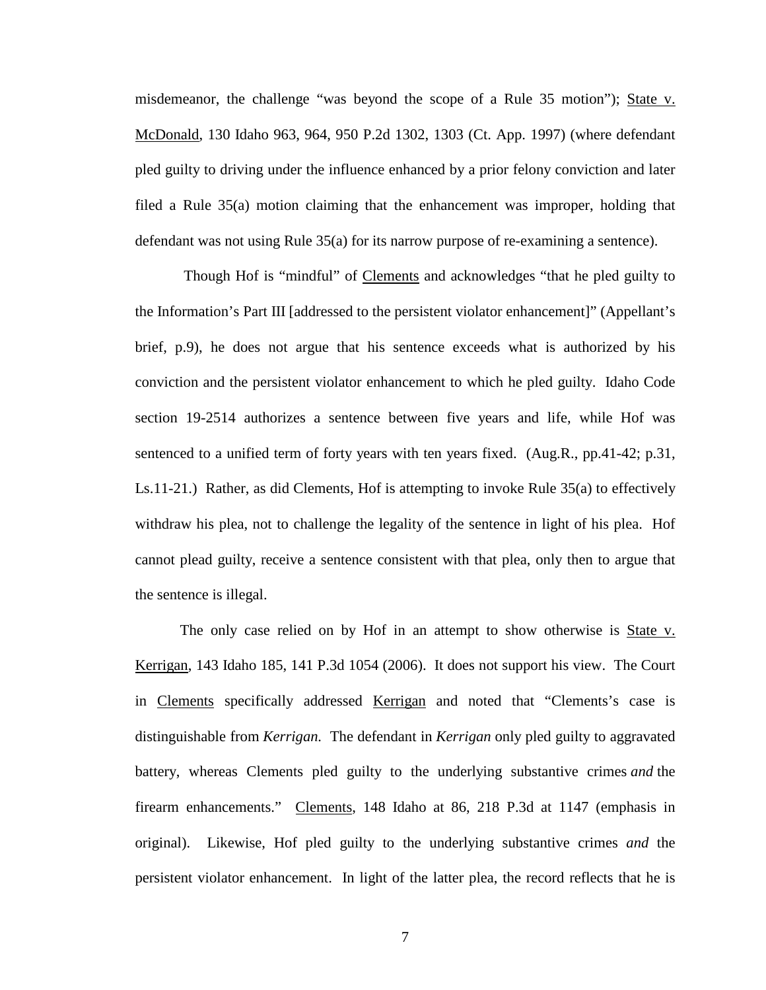misdemeanor, the challenge "was beyond the scope of a Rule 35 motion"); State v. McDonald, 130 Idaho 963, 964, 950 P.2d 1302, 1303 (Ct. App. 1997) (where defendant pled guilty to driving under the influence enhanced by a prior felony conviction and later filed a Rule 35(a) motion claiming that the enhancement was improper, holding that defendant was not using Rule 35(a) for its narrow purpose of re-examining a sentence).

Though Hof is "mindful" of Clements and acknowledges "that he pled guilty to the Information's Part III [addressed to the persistent violator enhancement]" (Appellant's brief, p.9), he does not argue that his sentence exceeds what is authorized by his conviction and the persistent violator enhancement to which he pled guilty. Idaho Code section 19-2514 authorizes a sentence between five years and life, while Hof was sentenced to a unified term of forty years with ten years fixed. (Aug.R., pp.41-42; p.31, Ls.11-21.) Rather, as did Clements, Hof is attempting to invoke Rule 35(a) to effectively withdraw his plea, not to challenge the legality of the sentence in light of his plea. Hof cannot plead guilty, receive a sentence consistent with that plea, only then to argue that the sentence is illegal.

The only case relied on by Hof in an attempt to show otherwise is State v. Kerrigan, 143 Idaho 185, 141 P.3d 1054 (2006). It does not support his view. The Court in Clements specifically addressed Kerrigan and noted that "Clements's case is distinguishable from *Kerrigan.* The defendant in *Kerrigan* only pled guilty to aggravated battery, whereas Clements pled guilty to the underlying substantive crimes *and* the firearm enhancements." Clements, 148 Idaho at 86, 218 P.3d at 1147 (emphasis in original). Likewise, Hof pled guilty to the underlying substantive crimes *and* the persistent violator enhancement. In light of the latter plea, the record reflects that he is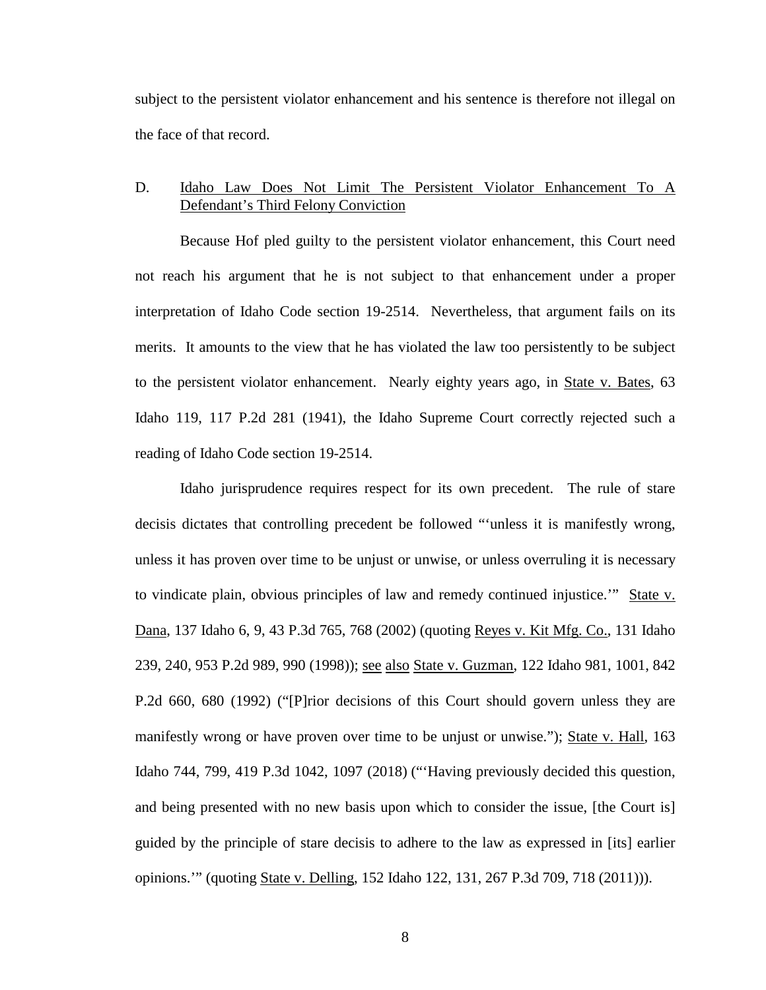subject to the persistent violator enhancement and his sentence is therefore not illegal on the face of that record.

## D. Idaho Law Does Not Limit The Persistent Violator Enhancement To A Defendant's Third Felony Conviction

Because Hof pled guilty to the persistent violator enhancement, this Court need not reach his argument that he is not subject to that enhancement under a proper interpretation of Idaho Code section 19-2514. Nevertheless, that argument fails on its merits. It amounts to the view that he has violated the law too persistently to be subject to the persistent violator enhancement. Nearly eighty years ago, in State v. Bates, 63 Idaho 119, 117 P.2d 281 (1941), the Idaho Supreme Court correctly rejected such a reading of Idaho Code section 19-2514.

Idaho jurisprudence requires respect for its own precedent. The rule of stare decisis dictates that controlling precedent be followed "'unless it is manifestly wrong, unless it has proven over time to be unjust or unwise, or unless overruling it is necessary to vindicate plain, obvious principles of law and remedy continued injustice.'" State v. Dana, 137 Idaho 6, 9, 43 P.3d 765, 768 (2002) (quoting Reyes v. Kit Mfg. Co., 131 Idaho 239, 240, 953 P.2d 989, 990 (1998)); see also State v. Guzman, 122 Idaho 981, 1001, 842 P.2d 660, 680 (1992) ("[P]rior decisions of this Court should govern unless they are manifestly wrong or have proven over time to be unjust or unwise."); State v. Hall, 163 Idaho 744, 799, 419 P.3d 1042, 1097 (2018) ("'Having previously decided this question, and being presented with no new basis upon which to consider the issue, [the Court is] guided by the principle of stare decisis to adhere to the law as expressed in [its] earlier opinions.'" (quoting State v. Delling, 152 Idaho 122, 131, 267 P.3d 709, 718 (2011))).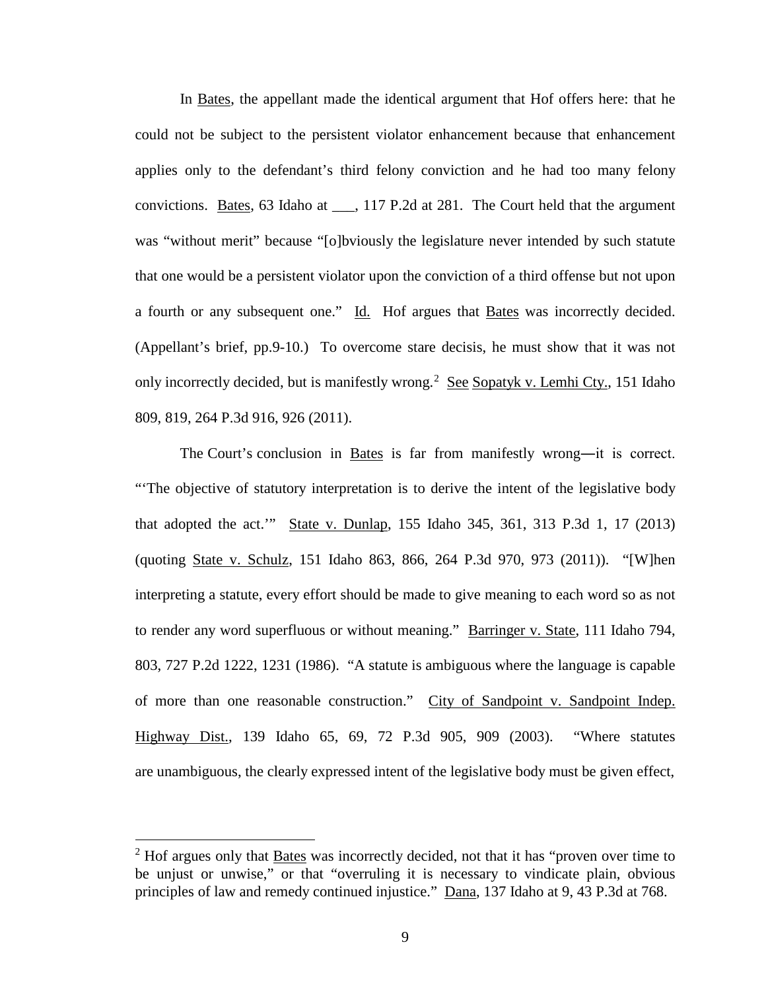In Bates, the appellant made the identical argument that Hof offers here: that he could not be subject to the persistent violator enhancement because that enhancement applies only to the defendant's third felony conviction and he had too many felony convictions. Bates, 63 Idaho at \_\_\_, 117 P.2d at 281. The Court held that the argument was "without merit" because "[o]bviously the legislature never intended by such statute that one would be a persistent violator upon the conviction of a third offense but not upon a fourth or any subsequent one." Id. Hof argues that Bates was incorrectly decided. (Appellant's brief, pp.9-10.) To overcome stare decisis, he must show that it was not only incorrectly decided, but is manifestly wrong.<sup>[2](#page--1-1)</sup> See Sopatyk v. Lemhi Cty., 151 Idaho 809, 819, 264 P.3d 916, 926 (2011).

The Court's conclusion in Bates is far from manifestly wrong—it is correct. "'The objective of statutory interpretation is to derive the intent of the legislative body that adopted the act.'" State v. Dunlap, 155 Idaho 345, 361, 313 P.3d 1, 17 (2013) (quoting State v. Schulz, 151 Idaho 863, 866, 264 P.3d 970, 973 (2011)). "[W]hen interpreting a statute, every effort should be made to give meaning to each word so as not to render any word superfluous or without meaning." Barringer v. State, 111 Idaho 794, 803, 727 P.2d 1222, 1231 (1986). "A statute is ambiguous where the language is capable of more than one reasonable construction." City of Sandpoint v. Sandpoint Indep. Highway Dist., 139 Idaho 65, 69, 72 P.3d 905, 909 (2003). "Where statutes are unambiguous, the clearly expressed intent of the legislative body must be given effect,

 $\overline{a}$ 

 $2$  Hof argues only that Bates was incorrectly decided, not that it has "proven over time to be unjust or unwise," or that "overruling it is necessary to vindicate plain, obvious principles of law and remedy continued injustice." Dana, 137 Idaho at 9, 43 P.3d at 768.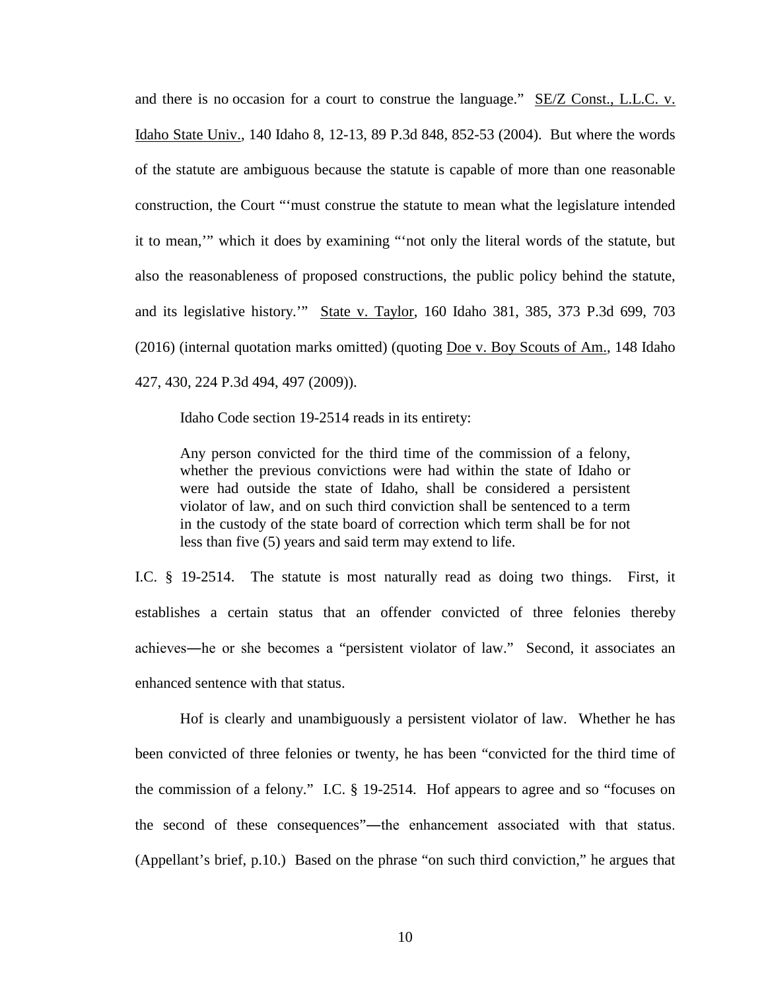and there is no occasion for a court to construe the language." SE/Z Const., L.L.C. v. Idaho State Univ., 140 Idaho 8, 12-13, 89 P.3d 848, 852-53 (2004). But where the words of the statute are ambiguous because the statute is capable of more than one reasonable construction, the Court "'must construe the statute to mean what the legislature intended it to mean,'" which it does by examining "'not only the literal words of the statute, but also the reasonableness of proposed constructions, the public policy behind the statute, and its legislative history.'" State v. Taylor, 160 Idaho 381, 385, 373 P.3d 699, 703 (2016) (internal quotation marks omitted) (quoting Doe v. Boy Scouts of Am., 148 Idaho 427, 430, 224 P.3d 494, 497 (2009)).

Idaho Code section 19-2514 reads in its entirety:

Any person convicted for the third time of the commission of a felony, whether the previous convictions were had within the state of Idaho or were had outside the state of Idaho, shall be considered a persistent violator of law, and on such third conviction shall be sentenced to a term in the custody of the state board of correction which term shall be for not less than five (5) years and said term may extend to life.

I.C. § 19-2514. The statute is most naturally read as doing two things. First, it establishes a certain status that an offender convicted of three felonies thereby achieves―he or she becomes a "persistent violator of law." Second, it associates an enhanced sentence with that status.

Hof is clearly and unambiguously a persistent violator of law. Whether he has been convicted of three felonies or twenty, he has been "convicted for the third time of the commission of a felony." I.C. § 19-2514. Hof appears to agree and so "focuses on the second of these consequences"―the enhancement associated with that status. (Appellant's brief, p.10.) Based on the phrase "on such third conviction," he argues that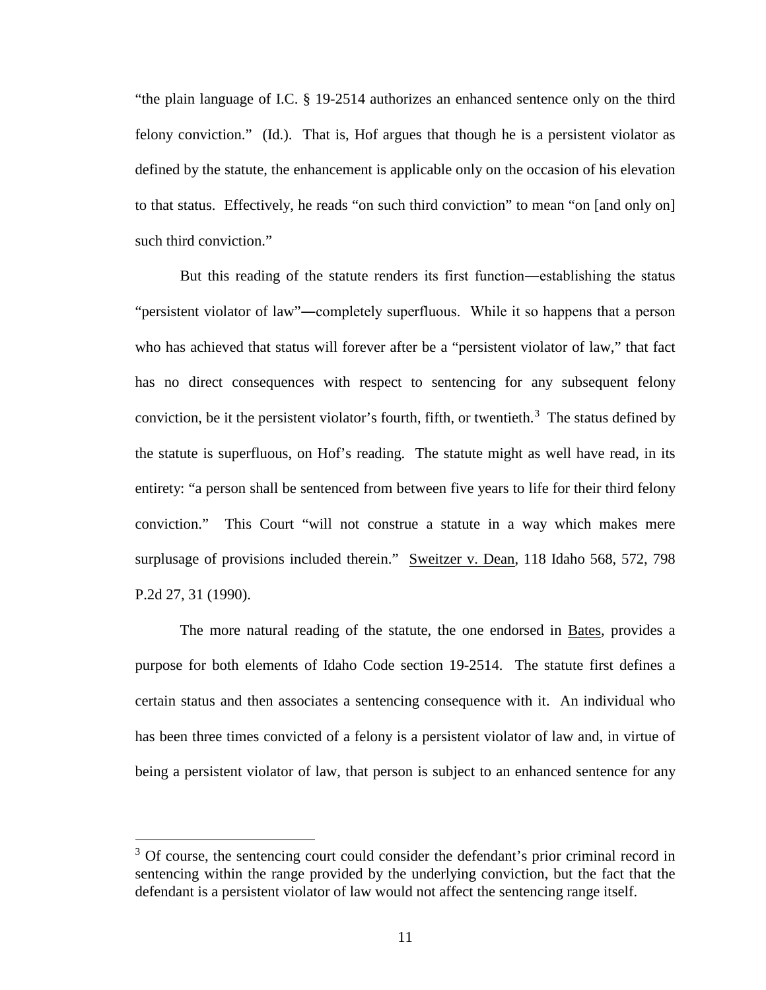"the plain language of I.C. § 19-2514 authorizes an enhanced sentence only on the third felony conviction." (Id.). That is, Hof argues that though he is a persistent violator as defined by the statute, the enhancement is applicable only on the occasion of his elevation to that status. Effectively, he reads "on such third conviction" to mean "on [and only on] such third conviction."

But this reading of the statute renders its first function―establishing the status "persistent violator of law"―completely superfluous. While it so happens that a person who has achieved that status will forever after be a "persistent violator of law," that fact has no direct consequences with respect to sentencing for any subsequent felony conviction, be it the persistent violator's fourth, fifth, or twentieth.<sup>[3](#page--1-1)</sup> The status defined by the statute is superfluous, on Hof's reading. The statute might as well have read, in its entirety: "a person shall be sentenced from between five years to life for their third felony conviction." This Court "will not construe a statute in a way which makes mere surplusage of provisions included therein." Sweitzer v. Dean, 118 Idaho 568, 572, 798 P.2d 27, 31 (1990).

The more natural reading of the statute, the one endorsed in Bates, provides a purpose for both elements of Idaho Code section 19-2514. The statute first defines a certain status and then associates a sentencing consequence with it. An individual who has been three times convicted of a felony is a persistent violator of law and, in virtue of being a persistent violator of law, that person is subject to an enhanced sentence for any

 $\overline{a}$ 

 $3$  Of course, the sentencing court could consider the defendant's prior criminal record in sentencing within the range provided by the underlying conviction, but the fact that the defendant is a persistent violator of law would not affect the sentencing range itself.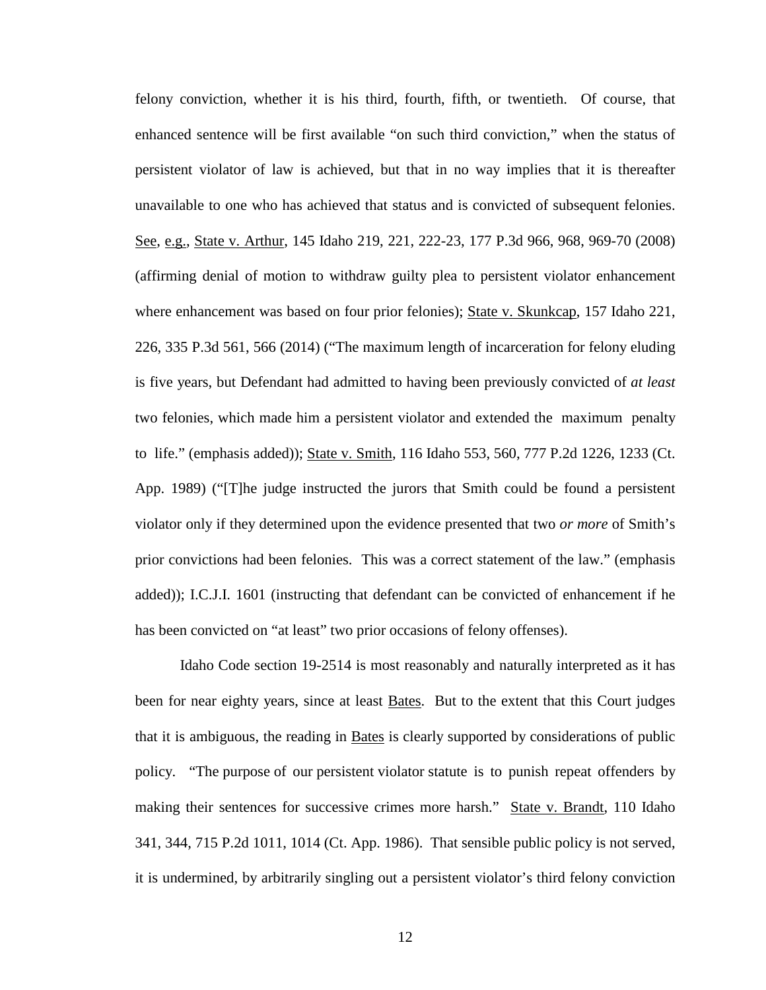felony conviction, whether it is his third, fourth, fifth, or twentieth. Of course, that enhanced sentence will be first available "on such third conviction," when the status of persistent violator of law is achieved, but that in no way implies that it is thereafter unavailable to one who has achieved that status and is convicted of subsequent felonies. See, e.g., State v. Arthur, 145 Idaho 219, 221, 222-23, 177 P.3d 966, 968, 969-70 (2008) (affirming denial of motion to withdraw guilty plea to persistent violator enhancement where enhancement was based on four prior felonies); State v. Skunkcap, 157 Idaho 221, 226, 335 P.3d 561, 566 (2014) ("The maximum length of incarceration for felony eluding is five years, but Defendant had admitted to having been previously convicted of *at least* two felonies, which made him a persistent violator and extended the maximum penalty to life." (emphasis added)); State v. Smith, 116 Idaho 553, 560, 777 P.2d 1226, 1233 (Ct. App. 1989) ("[T]he judge instructed the jurors that Smith could be found a persistent violator only if they determined upon the evidence presented that two *or more* of Smith's prior convictions had been felonies. This was a correct statement of the law." (emphasis added)); I.C.J.I. 1601 (instructing that defendant can be convicted of enhancement if he has been convicted on "at least" two prior occasions of felony offenses).

Idaho Code section 19-2514 is most reasonably and naturally interpreted as it has been for near eighty years, since at least **Bates**. But to the extent that this Court judges that it is ambiguous, the reading in Bates is clearly supported by considerations of public policy. "The purpose of our persistent violator statute is to punish repeat offenders by making their sentences for successive crimes more harsh." State v. Brandt, 110 Idaho 341, 344, 715 P.2d 1011, 1014 (Ct. App. 1986). That sensible public policy is not served, it is undermined, by arbitrarily singling out a persistent violator's third felony conviction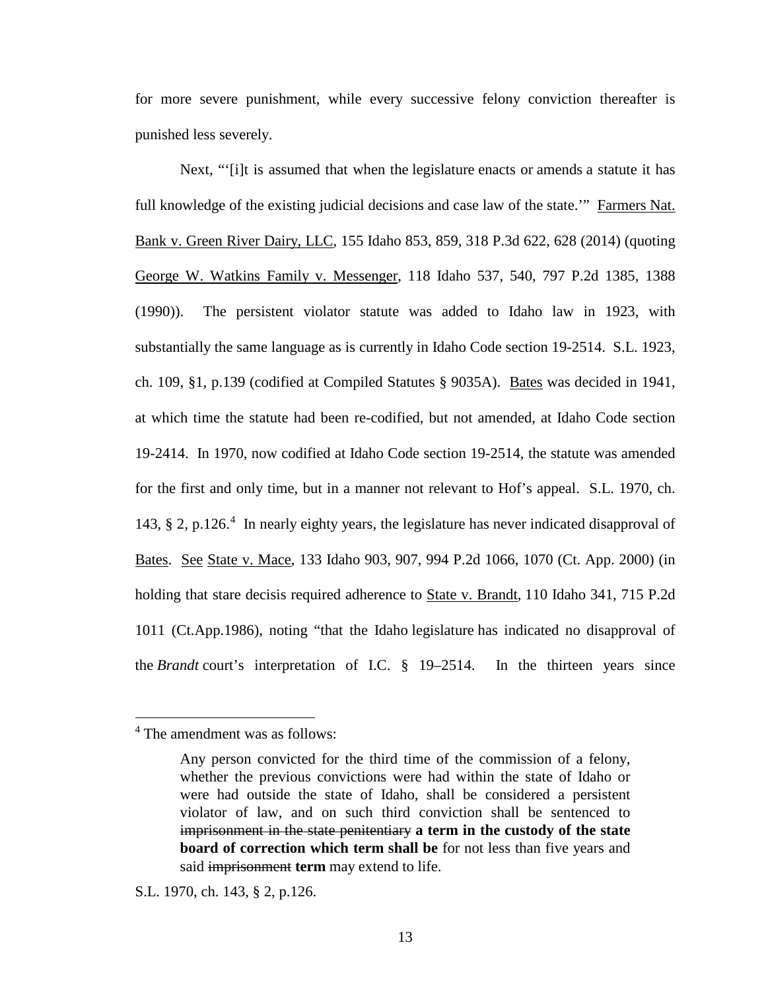for more severe punishment, while every successive felony conviction thereafter is punished less severely.

Next, "'[i]t is assumed that when the legislature enacts or amends a statute it has full knowledge of the existing judicial decisions and case law of the state.'" Farmers Nat. Bank v. Green River Dairy, LLC, 155 Idaho 853, 859, 318 P.3d 622, 628 (2014) (quoting George W. Watkins Family v. Messenger, 118 Idaho 537, 540, 797 P.2d 1385, 1388 (1990)). The persistent violator statute was added to Idaho law in 1923, with substantially the same language as is currently in Idaho Code section 19-2514. S.L. 1923, ch. 109, §1, p.139 (codified at Compiled Statutes § 9035A). Bates was decided in 1941, at which time the statute had been re-codified, but not amended, at Idaho Code section 19-2414. In 1970, now codified at Idaho Code section 19-2514, the statute was amended for the first and only time, but in a manner not relevant to Hof's appeal. S.L. 1970, ch. 1[4](#page--1-2)3, § 2, p.126.<sup>4</sup> In nearly eighty years, the legislature has never indicated disapproval of Bates. See State v. Mace, 133 Idaho 903, 907, 994 P.2d 1066, 1070 (Ct. App. 2000) (in holding that stare decisis required adherence to State v. Brandt*,* 110 Idaho 341, 715 P.2d 1011 (Ct.App.1986), noting "that the Idaho legislature has indicated no disapproval of the *Brandt* court's interpretation of I.C. § 19–2514. In the thirteen years since

 $\overline{a}$ 

S.L. 1970, ch. 143, § 2, p.126.

<sup>4</sup> The amendment was as follows:

Any person convicted for the third time of the commission of a felony, whether the previous convictions were had within the state of Idaho or were had outside the state of Idaho, shall be considered a persistent violator of law, and on such third conviction shall be sentenced to imprisonment in the state penitentiary **a term in the custody of the state board of correction which term shall be** for not less than five years and said imprisonment **term** may extend to life.